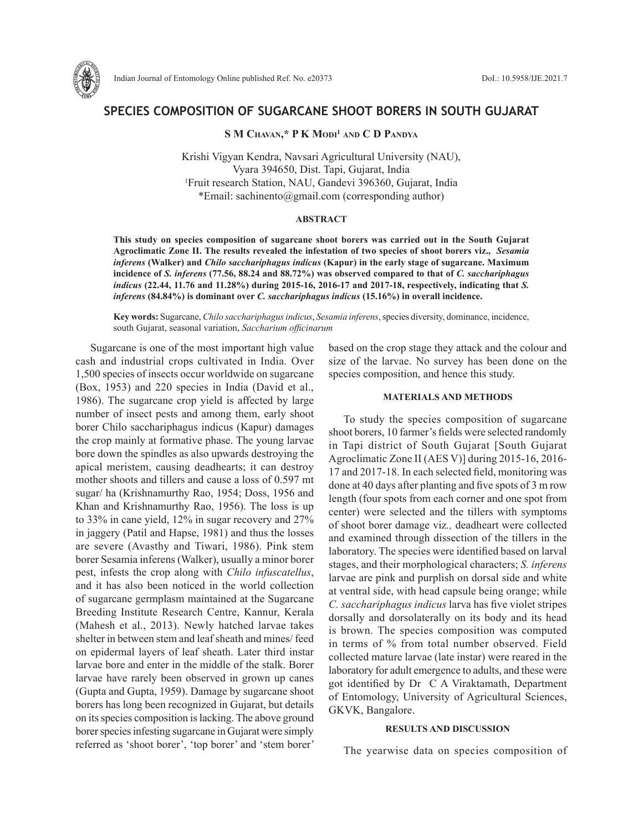

# **SPECIES COMPOSITION OF SUGARCANE SHOOT BORERS IN SOUTH GUJARAT**

## **S M Chavan,\* P K Modi1 and C D Pandya**

Krishi Vigyan Kendra, Navsari Agricultural University (NAU), Vyara 394650, Dist. Tapi, Gujarat, India 1 Fruit research Station, NAU, Gandevi 396360, Gujarat, India \*Email: sachinento@gmail.com (corresponding author)

### **ABSTRACT**

**This study on species composition of sugarcane shoot borers was carried out in the South Gujarat Agroclimatic Zone II. The results revealed the infestation of two species of shoot borers viz.,** *Sesamia inferens* **(Walker) and** *Chilo sacchariphagus indicus* **(Kapur) in the early stage of sugarcane. Maximum incidence of** *S. inferens* **(77.56, 88.24 and 88.72%) was observed compared to that of** *C. sacchariphagus indicus* **(22.44, 11.76 and 11.28%) during 2015-16, 2016-17 and 2017-18, respectively, indicating that** *S. inferens* **(84.84%) is dominant over** *C. sacchariphagus indicus* **(15.16%) in overall incidence.**

**Key words:** Sugarcane, *Chilo sacchariphagus indicus*, *Sesamia inferens*, species diversity, dominance, incidence, south Gujarat, seasonal variation, *Saccharium officinarum*

Sugarcane is one of the most important high value cash and industrial crops cultivated in India. Over 1,500 species of insects occur worldwide on sugarcane (Box, 1953) and 220 species in India (David et al., 1986). The sugarcane crop yield is affected by large number of insect pests and among them, early shoot borer Chilo sacchariphagus indicus (Kapur) damages the crop mainly at formative phase. The young larvae bore down the spindles as also upwards destroying the apical meristem, causing deadhearts; it can destroy mother shoots and tillers and cause a loss of 0.597 mt sugar/ ha (Krishnamurthy Rao, 1954; Doss, 1956 and Khan and Krishnamurthy Rao, 1956). The loss is up to 33% in cane yield, 12% in sugar recovery and 27% in jaggery (Patil and Hapse, 1981) and thus the losses are severe (Avasthy and Tiwari, 1986). Pink stem borer Sesamia inferens(Walker), usually a minor borer pest, infests the crop along with *Chilo infuscatellus*, and it has also been noticed in the world collection of sugarcane germplasm maintained at the Sugarcane Breeding Institute Research Centre, Kannur, Kerala (Mahesh et al., 2013). Newly hatched larvae takes shelter in between stem and leaf sheath and mines/ feed on epidermal layers of leaf sheath. Later third instar larvae bore and enter in the middle of the stalk. Borer larvae have rarely been observed in grown up canes (Gupta and Gupta, 1959). Damage by sugarcane shoot borers has long been recognized in Gujarat, but details on its species composition is lacking. The above ground borer species infesting sugarcane in Gujarat were simply referred as 'shoot borer', 'top borer' and 'stem borer'

based on the crop stage they attack and the colour and size of the larvae. No survey has been done on the species composition, and hence this study.

## **MATERIALS AND METHODS**

To study the species composition of sugarcane shoot borers, 10 farmer's fields were selected randomly in Tapi district of South Gujarat [South Gujarat Agroclimatic Zone II (AES V)] during 2015-16, 2016- 17 and 2017-18. In each selected field, monitoring was done at 40 days after planting and five spots of 3 m row length (four spots from each corner and one spot from center) were selected and the tillers with symptoms of shoot borer damage viz*.,* deadheart were collected and examined through dissection of the tillers in the laboratory. The species were identified based on larval stages, and their morphological characters; *S. inferens*  larvae are pink and purplish on dorsal side and white at ventral side, with head capsule being orange; while *C. sacchariphagus indicus* larva has five violet stripes dorsally and dorsolaterally on its body and its head is brown. The species composition was computed in terms of % from total number observed. Field collected mature larvae (late instar) were reared in the laboratory for adult emergence to adults, and these were got identified by Dr C A Viraktamath, Department of Entomology, University of Agricultural Sciences, GKVK, Bangalore.

#### **RESULTS AND DISCUSSION**

The yearwise data on species composition of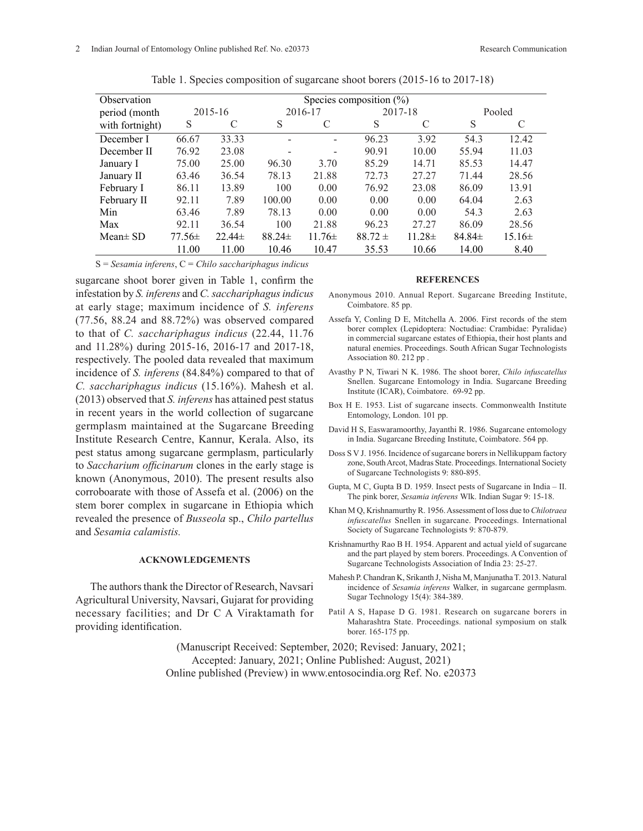| Observation     | Species composition $(\%)$ |             |             |             |             |             |             |            |
|-----------------|----------------------------|-------------|-------------|-------------|-------------|-------------|-------------|------------|
| period (month   | 2015-16                    |             | 2016-17     |             | 2017-18     |             | Pooled      |            |
| with fortnight) | S                          | C           | S           | C           | S           | C           | S           | C          |
| December I      | 66.67                      | 33.33       |             |             | 96.23       | 3.92        | 54.3        | 12.42      |
| December II     | 76.92                      | 23.08       |             |             | 90.91       | 10.00       | 55.94       | 11.03      |
| January I       | 75.00                      | 25.00       | 96.30       | 3.70        | 85.29       | 14.71       | 85.53       | 14.47      |
| January II      | 63.46                      | 36.54       | 78.13       | 21.88       | 72.73       | 27.27       | 71.44       | 28.56      |
| February I      | 86.11                      | 13.89       | 100         | 0.00        | 76.92       | 23.08       | 86.09       | 13.91      |
| February II     | 92.11                      | 7.89        | 100.00      | 0.00        | 0.00        | 0.00        | 64.04       | 2.63       |
| Min             | 63.46                      | 7.89        | 78.13       | 0.00        | 0.00        | 0.00        | 54.3        | 2.63       |
| Max             | 92.11                      | 36.54       | 100         | 21.88       | 96.23       | 27.27       | 86.09       | 28.56      |
| Mean $\pm$ SD   | $77.56\pm$                 | $22.44 \pm$ | $88.24 \pm$ | $11.76 \pm$ | $88.72 \pm$ | $11.28 \pm$ | $84.84 \pm$ | $15.16\pm$ |
|                 | 11.00                      | 11.00       | 10.46       | 10.47       | 35.53       | 10.66       | 14.00       | 8.40       |

Table 1. Species composition of sugarcane shoot borers (2015-16 to 2017-18)

S = *Sesamia inferens*, C = *Chilo sacchariphagus indicus*

sugarcane shoot borer given in Table 1, confirm the infestation by *S. inferens* and *C. sacchariphagus indicus*  at early stage; maximum incidence of *S. inferens*  (77.56, 88.24 and 88.72%) was observed compared to that of *C. sacchariphagus indicus* (22.44, 11.76 and 11.28%) during 2015-16, 2016-17 and 2017-18, respectively. The pooled data revealed that maximum incidence of *S. inferens* (84.84%) compared to that of *C. sacchariphagus indicus* (15.16%). Mahesh et al. (2013) observed that *S. inferens* has attained pest status in recent years in the world collection of sugarcane germplasm maintained at the Sugarcane Breeding Institute Research Centre, Kannur, Kerala. Also, its pest status among sugarcane germplasm, particularly to *Saccharium officinarum* clones in the early stage is known (Anonymous, 2010). The present results also corroboarate with those of Assefa et al. (2006) on the stem borer complex in sugarcane in Ethiopia which revealed the presence of *Busseola* sp., *Chilo partellus* and *Sesamia calamistis.* 

#### **ACKNOWLEDGEMENTS**

The authors thank the Director of Research, Navsari Agricultural University, Navsari, Gujarat for providing necessary facilities; and Dr C A Viraktamath for providing identification.

#### **REFERENCES**

- Anonymous 2010. Annual Report. Sugarcane Breeding Institute, Coimbatore. 85 pp.
- Assefa Y, Conling D E, Mitchella A. 2006. First records of the stem borer complex (Lepidoptera: Noctudiae: Crambidae: Pyralidae) in commercial sugarcane estates of Ethiopia, their host plants and natural enemies. Proceedings. South African Sugar Technologists Association 80. 212 pp .
- Avasthy P N, Tiwari N K. 1986. The shoot borer, *Chilo infuscatellus*  Snellen. Sugarcane Entomology in India. Sugarcane Breeding Institute (ICAR), Coimbatore. 69-92 pp.
- Box H E. 1953. List of sugarcane insects. Commonwealth Institute Entomology, London. 101 pp.
- David H S, Easwaramoorthy, Jayanthi R. 1986. Sugarcane entomology in India. Sugarcane Breeding Institute, Coimbatore. 564 pp.
- Doss S V J. 1956. Incidence of sugarcane borers in Nellikuppam factory zone, South Arcot, Madras State. Proceedings. International Society of Sugarcane Technologists 9: 880-895.
- Gupta, M C, Gupta B D. 1959. Insect pests of Sugarcane in India II. The pink borer, *Sesamia inferens* Wlk. Indian Sugar 9: 15-18.
- Khan M Q, Krishnamurthy R. 1956. Assessment of loss due to *Chilotraea infuscatellus* Snellen in sugarcane. Proceedings. International Society of Sugarcane Technologists 9: 870-879.
- Krishnamurthy Rao B H. 1954. Apparent and actual yield of sugarcane and the part played by stem borers. Proceedings. A Convention of Sugarcane Technologists Association of India 23: 25-27.
- Mahesh P. Chandran K, Srikanth J, Nisha M, Manjunatha T. 2013. Natural incidence of *Sesamia inferens* Walker, in sugarcane germplasm. Sugar Technology 15(4): 384-389.
- Patil A S, Hapase D G. 1981. Research on sugarcane borers in Maharashtra State. Proceedings. national symposium on stalk borer. 165-175 pp.

(Manuscript Received: September, 2020; Revised: January, 2021; Accepted: January, 2021; Online Published: August, 2021) Online published (Preview) in www.entosocindia.org Ref. No. e20373